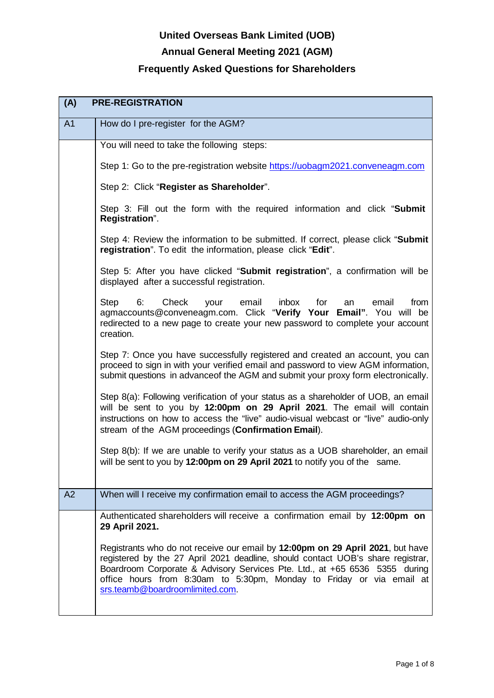# **Annual General Meeting 2021 (AGM)**

| (A)<br><b>PRE-REGISTRATION</b> |                                                                                                                                                                                                                                                                                                                                                            |
|--------------------------------|------------------------------------------------------------------------------------------------------------------------------------------------------------------------------------------------------------------------------------------------------------------------------------------------------------------------------------------------------------|
| A <sub>1</sub>                 | How do I pre-register for the AGM?                                                                                                                                                                                                                                                                                                                         |
|                                | You will need to take the following steps:                                                                                                                                                                                                                                                                                                                 |
|                                | Step 1: Go to the pre-registration website https://uobagm2021.conveneagm.com                                                                                                                                                                                                                                                                               |
|                                | Step 2: Click "Register as Shareholder".                                                                                                                                                                                                                                                                                                                   |
|                                | Step 3: Fill out the form with the required information and click "Submit"<br>Registration".                                                                                                                                                                                                                                                               |
|                                | Step 4: Review the information to be submitted. If correct, please click "Submit"<br>registration". To edit the information, please click "Edit".                                                                                                                                                                                                          |
|                                | Step 5: After you have clicked "Submit registration", a confirmation will be<br>displayed after a successful registration.                                                                                                                                                                                                                                 |
|                                | Check<br><b>Step</b><br>6.<br>email<br>inbox<br>for<br>from<br>your<br>email<br>an<br>agmaccounts@conveneagm.com. Click "Verify Your Email". You will be<br>redirected to a new page to create your new password to complete your account<br>creation.                                                                                                     |
|                                | Step 7: Once you have successfully registered and created an account, you can<br>proceed to sign in with your verified email and password to view AGM information,<br>submit questions in advanceof the AGM and submit your proxy form electronically.                                                                                                     |
|                                | Step 8(a): Following verification of your status as a shareholder of UOB, an email<br>will be sent to you by 12:00pm on 29 April 2021. The email will contain<br>instructions on how to access the "live" audio-visual webcast or "live" audio-only<br>stream of the AGM proceedings (Confirmation Email).                                                 |
|                                | Step 8(b): If we are unable to verify your status as a UOB shareholder, an email<br>will be sent to you by 12:00pm on 29 April 2021 to notify you of the same.                                                                                                                                                                                             |
| A2                             | When will I receive my confirmation email to access the AGM proceedings?                                                                                                                                                                                                                                                                                   |
|                                | Authenticated shareholders will receive a confirmation email by 12:00pm on<br>29 April 2021.                                                                                                                                                                                                                                                               |
|                                | Registrants who do not receive our email by 12:00pm on 29 April 2021, but have<br>registered by the 27 April 2021 deadline, should contact UOB's share registrar,<br>Boardroom Corporate & Advisory Services Pte. Ltd., at +65 6536 5355 during<br>office hours from 8:30am to 5:30pm, Monday to Friday or via email at<br>srs.teamb@boardroomlimited.com. |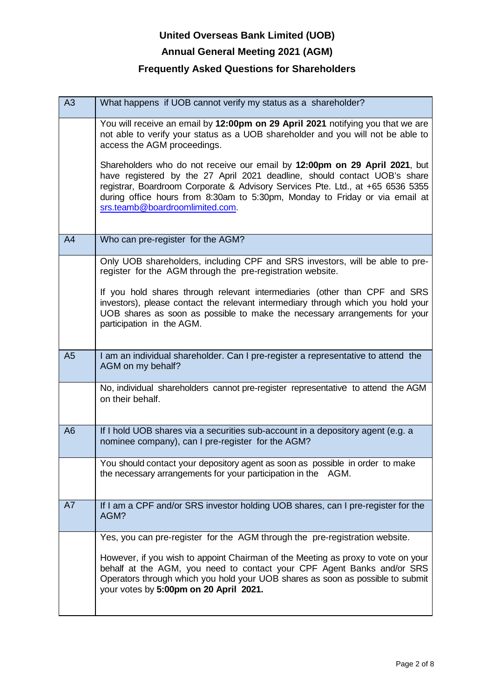### **Annual General Meeting 2021 (AGM)**

| A3             | What happens if UOB cannot verify my status as a shareholder?                                                                                                                                                                                                                                                                                               |
|----------------|-------------------------------------------------------------------------------------------------------------------------------------------------------------------------------------------------------------------------------------------------------------------------------------------------------------------------------------------------------------|
|                | You will receive an email by 12:00pm on 29 April 2021 notifying you that we are<br>not able to verify your status as a UOB shareholder and you will not be able to<br>access the AGM proceedings.                                                                                                                                                           |
|                | Shareholders who do not receive our email by 12:00pm on 29 April 2021, but<br>have registered by the 27 April 2021 deadline, should contact UOB's share<br>registrar, Boardroom Corporate & Advisory Services Pte. Ltd., at +65 6536 5355<br>during office hours from 8:30am to 5:30pm, Monday to Friday or via email at<br>srs.teamb@boardroomlimited.com. |
| A4             | Who can pre-register for the AGM?                                                                                                                                                                                                                                                                                                                           |
|                | Only UOB shareholders, including CPF and SRS investors, will be able to pre-<br>register for the AGM through the pre-registration website.                                                                                                                                                                                                                  |
|                | If you hold shares through relevant intermediaries (other than CPF and SRS<br>investors), please contact the relevant intermediary through which you hold your<br>UOB shares as soon as possible to make the necessary arrangements for your<br>participation in the AGM.                                                                                   |
| A <sub>5</sub> | I am an individual shareholder. Can I pre-register a representative to attend the<br>AGM on my behalf?                                                                                                                                                                                                                                                      |
|                | No, individual shareholders cannot pre-register representative to attend the AGM<br>on their behalf.                                                                                                                                                                                                                                                        |
| A <sub>6</sub> | If I hold UOB shares via a securities sub-account in a depository agent (e.g. a<br>nominee company), can I pre-register for the AGM?                                                                                                                                                                                                                        |
|                | You should contact your depository agent as soon as possible in order to make<br>the necessary arrangements for your participation in the AGM.                                                                                                                                                                                                              |
| A7             | If I am a CPF and/or SRS investor holding UOB shares, can I pre-register for the<br>AGM?                                                                                                                                                                                                                                                                    |
|                | Yes, you can pre-register for the AGM through the pre-registration website.                                                                                                                                                                                                                                                                                 |
|                | However, if you wish to appoint Chairman of the Meeting as proxy to vote on your<br>behalf at the AGM, you need to contact your CPF Agent Banks and/or SRS<br>Operators through which you hold your UOB shares as soon as possible to submit<br>your votes by 5:00pm on 20 April 2021.                                                                      |
|                |                                                                                                                                                                                                                                                                                                                                                             |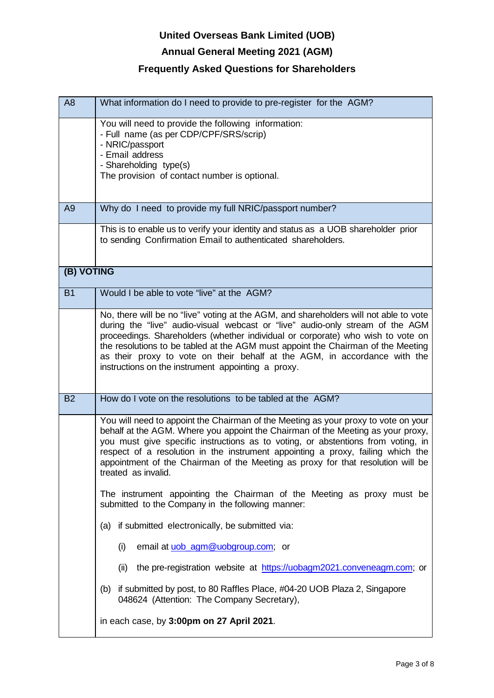# **Annual General Meeting 2021 (AGM)**

| A <sub>8</sub> | What information do I need to provide to pre-register for the AGM?                                                                                                                                                                                                                                                                                                                                                                                                               |
|----------------|----------------------------------------------------------------------------------------------------------------------------------------------------------------------------------------------------------------------------------------------------------------------------------------------------------------------------------------------------------------------------------------------------------------------------------------------------------------------------------|
|                | You will need to provide the following information:<br>- Full name (as per CDP/CPF/SRS/scrip)<br>- NRIC/passport<br>- Email address<br>- Shareholding type(s)<br>The provision of contact number is optional.                                                                                                                                                                                                                                                                    |
| A <sub>9</sub> | Why do I need to provide my full NRIC/passport number?                                                                                                                                                                                                                                                                                                                                                                                                                           |
|                | This is to enable us to verify your identity and status as a UOB shareholder prior<br>to sending Confirmation Email to authenticated shareholders.                                                                                                                                                                                                                                                                                                                               |
| (B) VOTING     |                                                                                                                                                                                                                                                                                                                                                                                                                                                                                  |
| <b>B1</b>      | Would I be able to vote "live" at the AGM?                                                                                                                                                                                                                                                                                                                                                                                                                                       |
|                | No, there will be no "live" voting at the AGM, and shareholders will not able to vote<br>during the "live" audio-visual webcast or "live" audio-only stream of the AGM<br>proceedings. Shareholders (whether individual or corporate) who wish to vote on<br>the resolutions to be tabled at the AGM must appoint the Chairman of the Meeting<br>as their proxy to vote on their behalf at the AGM, in accordance with the<br>instructions on the instrument appointing a proxy. |
| <b>B2</b>      | How do I vote on the resolutions to be tabled at the AGM?                                                                                                                                                                                                                                                                                                                                                                                                                        |
|                | You will need to appoint the Chairman of the Meeting as your proxy to vote on your<br>behalf at the AGM. Where you appoint the Chairman of the Meeting as your proxy,<br>you must give specific instructions as to voting, or abstentions from voting, in<br>respect of a resolution in the instrument appointing a proxy, failing which the<br>appointment of the Chairman of the Meeting as proxy for that resolution will be<br>treated as invalid.                           |
|                | The instrument appointing the Chairman of the Meeting as proxy must be<br>submitted to the Company in the following manner:                                                                                                                                                                                                                                                                                                                                                      |
|                | (a) if submitted electronically, be submitted via:                                                                                                                                                                                                                                                                                                                                                                                                                               |
|                | (i)<br>email at uob_agm@uobgroup.com; or                                                                                                                                                                                                                                                                                                                                                                                                                                         |
|                | (ii)<br>the pre-registration website at https://uobagm2021.conveneagm.com; or                                                                                                                                                                                                                                                                                                                                                                                                    |
|                | if submitted by post, to 80 Raffles Place, #04-20 UOB Plaza 2, Singapore<br>(b)<br>048624 (Attention: The Company Secretary),                                                                                                                                                                                                                                                                                                                                                    |
|                | in each case, by 3:00pm on 27 April 2021.                                                                                                                                                                                                                                                                                                                                                                                                                                        |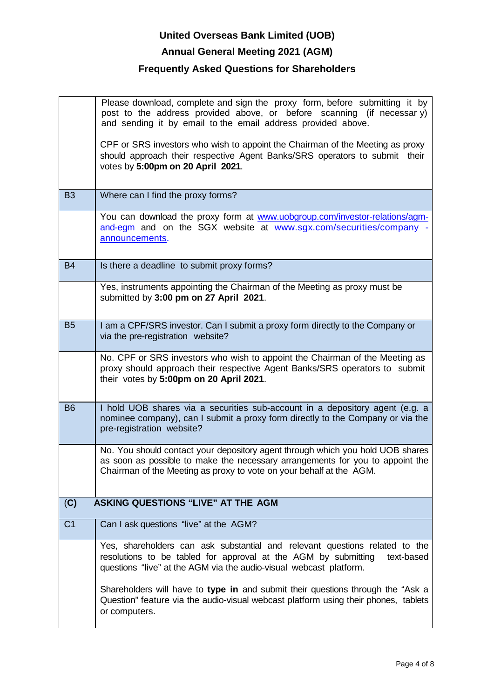### **Annual General Meeting 2021 (AGM)**

|                | Please download, complete and sign the proxy form, before submitting it by<br>post to the address provided above, or before scanning (if necessary)<br>and sending it by email to the email address provided above.                    |
|----------------|----------------------------------------------------------------------------------------------------------------------------------------------------------------------------------------------------------------------------------------|
|                | CPF or SRS investors who wish to appoint the Chairman of the Meeting as proxy<br>should approach their respective Agent Banks/SRS operators to submit their<br>votes by 5:00pm on 20 April 2021.                                       |
| <b>B3</b>      | Where can I find the proxy forms?                                                                                                                                                                                                      |
|                | You can download the proxy form at www.uobgroup.com/investor-relations/agm-<br>and-egm_and_on_the_SGX_website_at_www.sgx.com/securities/company_-<br>announcements.                                                                    |
| <b>B4</b>      | Is there a deadline to submit proxy forms?                                                                                                                                                                                             |
|                | Yes, instruments appointing the Chairman of the Meeting as proxy must be<br>submitted by 3:00 pm on 27 April 2021.                                                                                                                     |
| <b>B5</b>      | I am a CPF/SRS investor. Can I submit a proxy form directly to the Company or<br>via the pre-registration website?                                                                                                                     |
|                | No. CPF or SRS investors who wish to appoint the Chairman of the Meeting as<br>proxy should approach their respective Agent Banks/SRS operators to submit<br>their votes by 5:00pm on 20 April 2021.                                   |
| <b>B6</b>      | I hold UOB shares via a securities sub-account in a depository agent (e.g. a<br>nominee company), can I submit a proxy form directly to the Company or via the<br>pre-registration website?                                            |
|                | No. You should contact your depository agent through which you hold UOB shares<br>as soon as possible to make the necessary arrangements for you to appoint the<br>Chairman of the Meeting as proxy to vote on your behalf at the AGM. |
| (C)            | <b>ASKING QUESTIONS "LIVE" AT THE AGM</b>                                                                                                                                                                                              |
| C <sub>1</sub> | Can I ask questions "live" at the AGM?                                                                                                                                                                                                 |
|                | Yes, shareholders can ask substantial and relevant questions related to the<br>resolutions to be tabled for approval at the AGM by submitting<br>text-based<br>questions "live" at the AGM via the audio-visual webcast platform.      |
|                | Shareholders will have to type in and submit their questions through the "Ask a<br>Question" feature via the audio-visual webcast platform using their phones, tablets<br>or computers.                                                |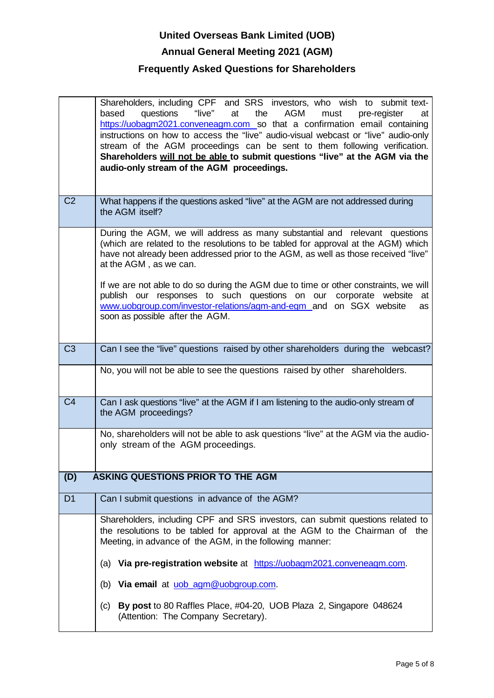# **United Overseas Bank Limited (UOB) Annual General Meeting 2021 (AGM) Frequently Asked Questions for Shareholders**

|                | Shareholders, including CPF and SRS investors, who wish to submit text-<br>"live" at<br>questions<br>the<br>AGM<br>based<br>must<br>pre-register<br>at<br>https://uobagm2021.conveneagm.com so that a confirmation email containing<br>instructions on how to access the "live" audio-visual webcast or "live" audio-only<br>stream of the AGM proceedings can be sent to them following verification.<br>Shareholders will not be able to submit questions "live" at the AGM via the<br>audio-only stream of the AGM proceedings. |
|----------------|------------------------------------------------------------------------------------------------------------------------------------------------------------------------------------------------------------------------------------------------------------------------------------------------------------------------------------------------------------------------------------------------------------------------------------------------------------------------------------------------------------------------------------|
| C <sub>2</sub> | What happens if the questions asked "live" at the AGM are not addressed during<br>the AGM itself?                                                                                                                                                                                                                                                                                                                                                                                                                                  |
|                | During the AGM, we will address as many substantial and relevant questions<br>(which are related to the resolutions to be tabled for approval at the AGM) which<br>have not already been addressed prior to the AGM, as well as those received "live"<br>at the AGM, as we can.<br>If we are not able to do so during the AGM due to time or other constraints, we will<br>publish our responses to such questions on our<br>corporate website<br>at<br>www.uobgroup.com/investor-relations/agm-and-egm_and_on_SGX_website<br>as   |
|                | soon as possible after the AGM.                                                                                                                                                                                                                                                                                                                                                                                                                                                                                                    |
| C <sub>3</sub> | Can I see the "live" questions raised by other shareholders during the webcast?                                                                                                                                                                                                                                                                                                                                                                                                                                                    |
|                | No, you will not be able to see the questions raised by other shareholders.                                                                                                                                                                                                                                                                                                                                                                                                                                                        |
| C <sub>4</sub> | Can I ask questions "live" at the AGM if I am listening to the audio-only stream of<br>the AGM proceedings?                                                                                                                                                                                                                                                                                                                                                                                                                        |
|                | No, shareholders will not be able to ask questions "live" at the AGM via the audio-<br>only stream of the AGM proceedings.                                                                                                                                                                                                                                                                                                                                                                                                         |
| (D)            | <b>ASKING QUESTIONS PRIOR TO THE AGM</b>                                                                                                                                                                                                                                                                                                                                                                                                                                                                                           |
| D <sub>1</sub> | Can I submit questions in advance of the AGM?                                                                                                                                                                                                                                                                                                                                                                                                                                                                                      |
|                | Shareholders, including CPF and SRS investors, can submit questions related to<br>the resolutions to be tabled for approval at the AGM to the Chairman of the<br>Meeting, in advance of the AGM, in the following manner:                                                                                                                                                                                                                                                                                                          |
|                | (a) Via pre-registration website at https://uobagm2021.conveneagm.com.                                                                                                                                                                                                                                                                                                                                                                                                                                                             |
|                | Via email at uob_agm@uobgroup.com.<br>(b)                                                                                                                                                                                                                                                                                                                                                                                                                                                                                          |
|                | By post to 80 Raffles Place, #04-20, UOB Plaza 2, Singapore 048624<br>(c)<br>(Attention: The Company Secretary).                                                                                                                                                                                                                                                                                                                                                                                                                   |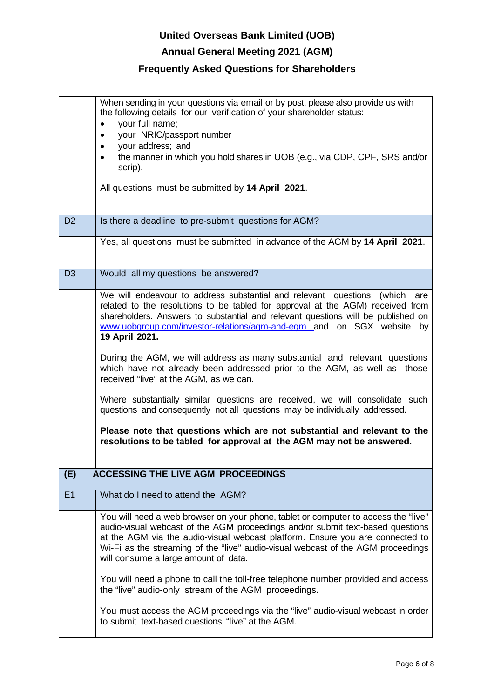# **Annual General Meeting 2021 (AGM)**

| When sending in your questions via email or by post, please also provide us with<br>the following details for our verification of your shareholder status:<br>your full name;<br>$\bullet$<br>your NRIC/passport number<br>$\bullet$<br>your address; and<br>$\bullet$<br>the manner in which you hold shares in UOB (e.g., via CDP, CPF, SRS and/or<br>$\bullet$<br>scrip).<br>All questions must be submitted by 14 April 2021.                                                                                                                                                                                                                                                                                                                                                                                                                                      |
|------------------------------------------------------------------------------------------------------------------------------------------------------------------------------------------------------------------------------------------------------------------------------------------------------------------------------------------------------------------------------------------------------------------------------------------------------------------------------------------------------------------------------------------------------------------------------------------------------------------------------------------------------------------------------------------------------------------------------------------------------------------------------------------------------------------------------------------------------------------------|
| Is there a deadline to pre-submit questions for AGM?                                                                                                                                                                                                                                                                                                                                                                                                                                                                                                                                                                                                                                                                                                                                                                                                                   |
| Yes, all questions must be submitted in advance of the AGM by 14 April 2021.                                                                                                                                                                                                                                                                                                                                                                                                                                                                                                                                                                                                                                                                                                                                                                                           |
| Would all my questions be answered?                                                                                                                                                                                                                                                                                                                                                                                                                                                                                                                                                                                                                                                                                                                                                                                                                                    |
| We will endeavour to address substantial and relevant questions (which are<br>related to the resolutions to be tabled for approval at the AGM) received from<br>shareholders. Answers to substantial and relevant questions will be published on<br>www.uobgroup.com/investor-relations/agm-and-egm_and_on_SGX_website<br>by<br>19 April 2021.<br>During the AGM, we will address as many substantial and relevant questions<br>which have not already been addressed prior to the AGM, as well as those<br>received "live" at the AGM, as we can.<br>Where substantially similar questions are received, we will consolidate such<br>questions and consequently not all questions may be individually addressed.<br>Please note that questions which are not substantial and relevant to the<br>resolutions to be tabled for approval at the AGM may not be answered. |
| <b>ACCESSING THE LIVE AGM PROCEEDINGS</b>                                                                                                                                                                                                                                                                                                                                                                                                                                                                                                                                                                                                                                                                                                                                                                                                                              |
|                                                                                                                                                                                                                                                                                                                                                                                                                                                                                                                                                                                                                                                                                                                                                                                                                                                                        |
| What do I need to attend the AGM?<br>You will need a web browser on your phone, tablet or computer to access the "live"                                                                                                                                                                                                                                                                                                                                                                                                                                                                                                                                                                                                                                                                                                                                                |
|                                                                                                                                                                                                                                                                                                                                                                                                                                                                                                                                                                                                                                                                                                                                                                                                                                                                        |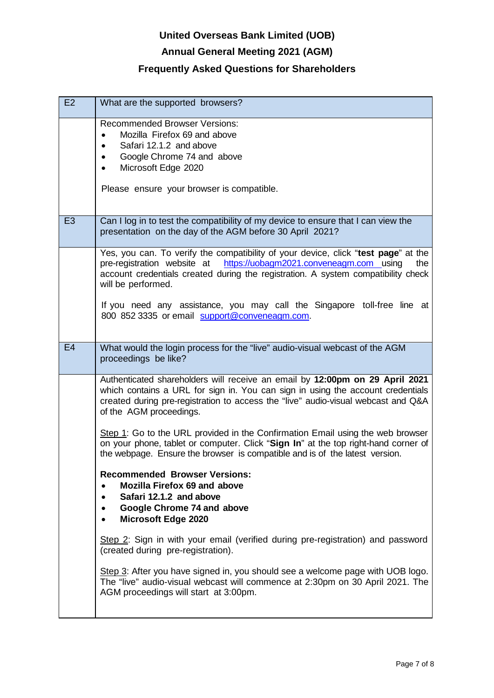# **Annual General Meeting 2021 (AGM)**

| E2             | What are the supported browsers?                                                                                                                                                                                                                                                                                                                                                                         |
|----------------|----------------------------------------------------------------------------------------------------------------------------------------------------------------------------------------------------------------------------------------------------------------------------------------------------------------------------------------------------------------------------------------------------------|
|                | <b>Recommended Browser Versions:</b><br>Mozilla Firefox 69 and above<br>Safari 12.1.2 and above<br>Google Chrome 74 and above<br>Microsoft Edge 2020<br>Please ensure your browser is compatible.                                                                                                                                                                                                        |
| E <sub>3</sub> | Can I log in to test the compatibility of my device to ensure that I can view the<br>presentation on the day of the AGM before 30 April 2021?                                                                                                                                                                                                                                                            |
|                | Yes, you can. To verify the compatibility of your device, click "test page" at the<br>pre-registration website at https://uobagm2021.conveneagm.com using<br>the<br>account credentials created during the registration. A system compatibility check<br>will be performed.<br>If you need any assistance, you may call the Singapore toll-free line at<br>800 852 3335 or email support@conveneagm.com. |
|                |                                                                                                                                                                                                                                                                                                                                                                                                          |
| E4             | What would the login process for the "live" audio-visual webcast of the AGM<br>proceedings be like?                                                                                                                                                                                                                                                                                                      |
|                | Authenticated shareholders will receive an email by 12:00pm on 29 April 2021<br>which contains a URL for sign in. You can sign in using the account credentials<br>created during pre-registration to access the "live" audio-visual webcast and Q&A<br>of the AGM proceedings.                                                                                                                          |
|                | Step 1: Go to the URL provided in the Confirmation Email using the web browser<br>on your phone, tablet or computer. Click "Sign In" at the top right-hand corner of<br>the webpage. Ensure the browser is compatible and is of the latest version.                                                                                                                                                      |
|                | <b>Recommended Browser Versions:</b><br><b>Mozilla Firefox 69 and above</b><br>Safari 12.1.2 and above<br>Google Chrome 74 and above<br><b>Microsoft Edge 2020</b>                                                                                                                                                                                                                                       |
|                | Step 2: Sign in with your email (verified during pre-registration) and password<br>(created during pre-registration).                                                                                                                                                                                                                                                                                    |
|                | Step 3: After you have signed in, you should see a welcome page with UOB logo.<br>The "live" audio-visual webcast will commence at 2:30pm on 30 April 2021. The<br>AGM proceedings will start at 3:00pm.                                                                                                                                                                                                 |